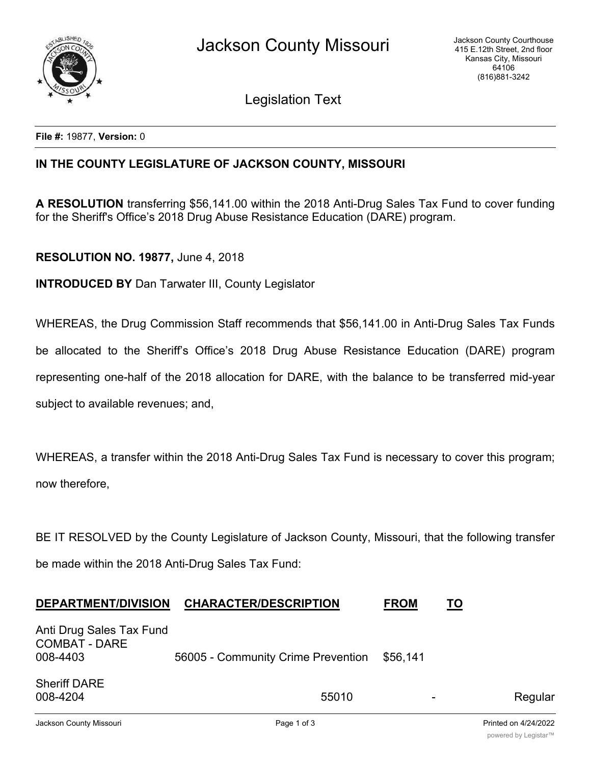

Legislation Text

**File #:** 19877, **Version:** 0

## **IN THE COUNTY LEGISLATURE OF JACKSON COUNTY, MISSOURI**

**A RESOLUTION** transferring \$56,141.00 within the 2018 Anti-Drug Sales Tax Fund to cover funding for the Sheriff's Office's 2018 Drug Abuse Resistance Education (DARE) program.

## **RESOLUTION NO. 19877,** June 4, 2018

**INTRODUCED BY** Dan Tarwater III, County Legislator

WHEREAS, the Drug Commission Staff recommends that \$56,141.00 in Anti-Drug Sales Tax Funds be allocated to the Sheriff's Office's 2018 Drug Abuse Resistance Education (DARE) program representing one-half of the 2018 allocation for DARE, with the balance to be transferred mid-year subject to available revenues; and,

WHEREAS, a transfer within the 2018 Anti-Drug Sales Tax Fund is necessary to cover this program; now therefore,

BE IT RESOLVED by the County Legislature of Jackson County, Missouri, that the following transfer be made within the 2018 Anti-Drug Sales Tax Fund:

| <b>DEPARTMENT/DIVISION</b>                                   | <b>CHARACTER/DESCRIPTION</b>       | <b>FROM</b>              | ΤO      |
|--------------------------------------------------------------|------------------------------------|--------------------------|---------|
| Anti Drug Sales Tax Fund<br><b>COMBAT - DARE</b><br>008-4403 | 56005 - Community Crime Prevention | \$56,141                 |         |
| <b>Sheriff DARE</b><br>008-4204                              | 55010                              | $\overline{\phantom{a}}$ | Regular |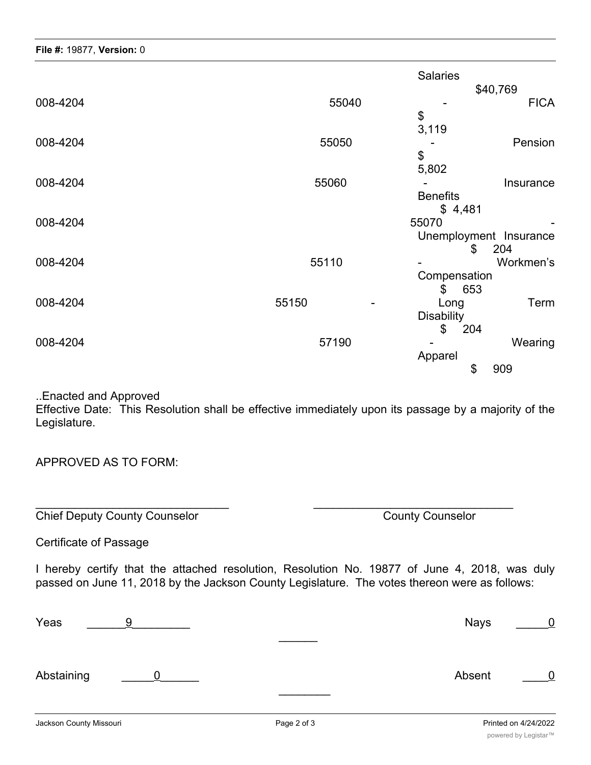|          |       | <b>Salaries</b>        |
|----------|-------|------------------------|
|          |       | \$40,769               |
| 008-4204 | 55040 | <b>FICA</b>            |
|          |       | \$                     |
|          |       | 3,119                  |
| 008-4204 | 55050 | Pension                |
|          |       | \$                     |
|          |       | 5,802                  |
| 008-4204 | 55060 | Insurance              |
|          |       | <b>Benefits</b>        |
|          |       | \$4,481                |
| 008-4204 |       | 55070                  |
|          |       | Unemployment Insurance |
|          |       | \$<br>204              |
| 008-4204 | 55110 | Workmen's              |
|          |       | Compensation           |
|          |       | 653<br>\$              |
| 008-4204 | 55150 | Term<br>Long           |
|          |       | <b>Disability</b>      |
|          |       | \$<br>204              |
| 008-4204 | 57190 | Wearing                |
|          |       | Apparel                |
|          |       | \$<br>909              |
|          |       |                        |

..Enacted and Approved

Effective Date: This Resolution shall be effective immediately upon its passage by a majority of the Legislature.

APPROVED AS TO FORM:

Chief Deputy County Counselor Chief Deputy County County County County Counselor

Certificate of Passage

I hereby certify that the attached resolution, Resolution No. 19877 of June 4, 2018, was duly passed on June 11, 2018 by the Jackson County Legislature. The votes thereon were as follows:

 $\overline{\phantom{a}}$  , and the contribution of the contribution of the contribution of the contribution of the contribution of the contribution of the contribution of the contribution of the contribution of the contribution of the

| Yeas       |  | Nays   |   |
|------------|--|--------|---|
|            |  |        |   |
| Abstaining |  | Absent | 0 |
|            |  |        |   |